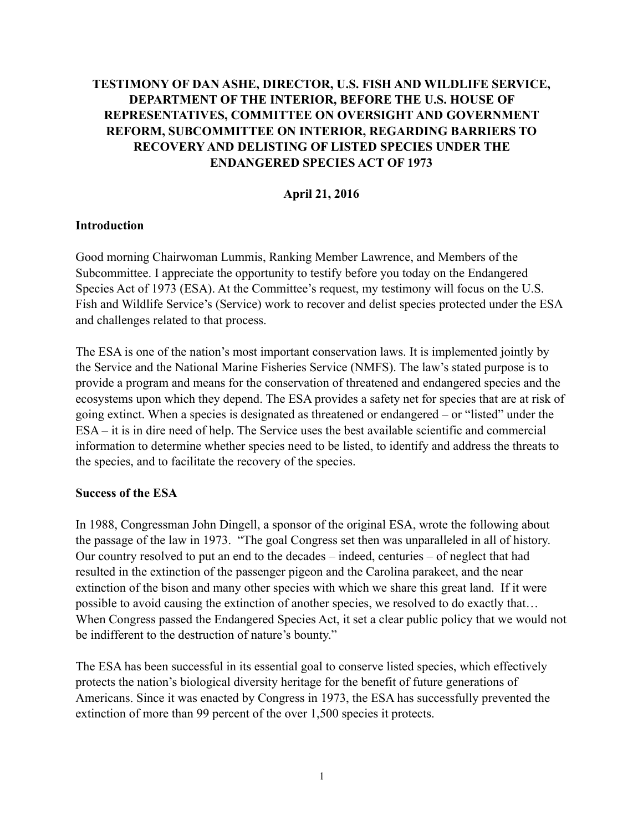# **TESTIMONY OF DAN ASHE, DIRECTOR, U.S. FISH AND WILDLIFE SERVICE, DEPARTMENT OF THE INTERIOR, BEFORE THE U.S. HOUSE OF REPRESENTATIVES, COMMITTEE ON OVERSIGHT AND GOVERNMENT REFORM, SUBCOMMITTEE ON INTERIOR, REGARDING BARRIERS TO RECOVERY AND DELISTING OF LISTED SPECIES UNDER THE ENDANGERED SPECIES ACT OF 1973**

# **April 21, 2016**

### **Introduction**

Good morning Chairwoman Lummis, Ranking Member Lawrence, and Members of the Subcommittee. I appreciate the opportunity to testify before you today on the Endangered Species Act of 1973 (ESA). At the Committee's request, my testimony will focus on the U.S. Fish and Wildlife Service's (Service) work to recover and delist species protected under the ESA and challenges related to that process.

The ESA is one of the nation's most important conservation laws. It is implemented jointly by the Service and the National Marine Fisheries Service (NMFS). The law's stated purpose is to provide a program and means for the conservation of threatened and endangered species and the ecosystems upon which they depend. The ESA provides a safety net for species that are at risk of going extinct. When a species is designated as threatened or endangered – or "listed" under the ESA – it is in dire need of help. The Service uses the best available scientific and commercial information to determine whether species need to be listed, to identify and address the threats to the species, and to facilitate the recovery of the species.

### **Success of the ESA**

In 1988, Congressman John Dingell, a sponsor of the original ESA, wrote the following about the passage of the law in 1973. "The goal Congress set then was unparalleled in all of history. Our country resolved to put an end to the decades – indeed, centuries – of neglect that had resulted in the extinction of the passenger pigeon and the Carolina parakeet, and the near extinction of the bison and many other species with which we share this great land. If it were possible to avoid causing the extinction of another species, we resolved to do exactly that… When Congress passed the Endangered Species Act, it set a clear public policy that we would not be indifferent to the destruction of nature's bounty."

The ESA has been successful in its essential goal to conserve listed species, which effectively protects the nation's biological diversity heritage for the benefit of future generations of Americans. Since it was enacted by Congress in 1973, the ESA has successfully prevented the extinction of more than 99 percent of the over 1,500 species it protects.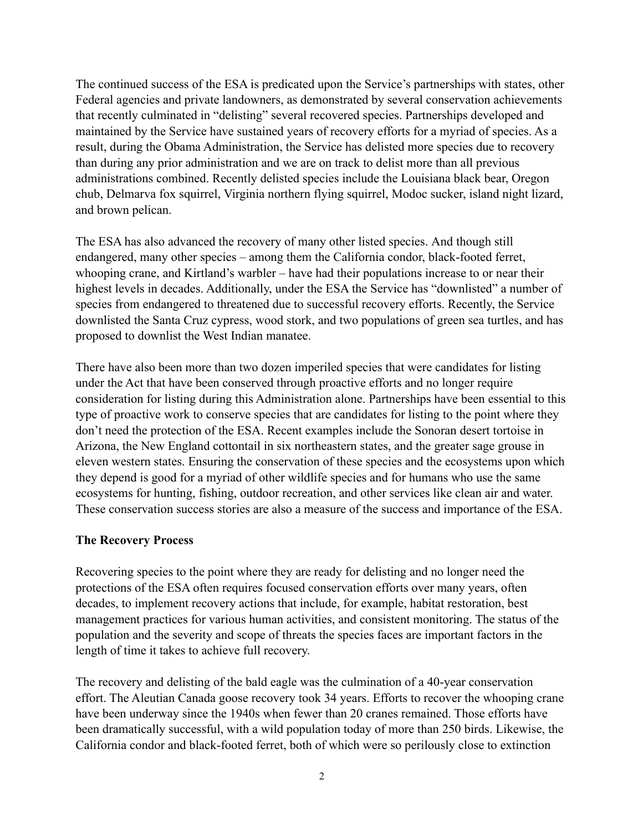The continued success of the ESA is predicated upon the Service's partnerships with states, other Federal agencies and private landowners, as demonstrated by several conservation achievements that recently culminated in "delisting" several recovered species. Partnerships developed and maintained by the Service have sustained years of recovery efforts for a myriad of species. As a result, during the Obama Administration, the Service has delisted more species due to recovery than during any prior administration and we are on track to delist more than all previous administrations combined. Recently delisted species include the Louisiana black bear, Oregon chub, Delmarva fox squirrel, Virginia northern flying squirrel, Modoc sucker, island night lizard, and brown pelican.

The ESA has also advanced the recovery of many other listed species. And though still endangered, many other species – among them the California condor, black-footed ferret, whooping crane, and Kirtland's warbler – have had their populations increase to or near their highest levels in decades. Additionally, under the ESA the Service has "downlisted" a number of species from endangered to threatened due to successful recovery efforts. Recently, the Service downlisted the Santa Cruz cypress, wood stork, and two populations of green sea turtles, and has proposed to downlist the West Indian manatee.

There have also been more than two dozen imperiled species that were candidates for listing under the Act that have been conserved through proactive efforts and no longer require consideration for listing during this Administration alone. Partnerships have been essential to this type of proactive work to conserve species that are candidates for listing to the point where they don't need the protection of the ESA. Recent examples include the Sonoran desert tortoise in Arizona, the New England cottontail in six northeastern states, and the greater sage grouse in eleven western states. Ensuring the conservation of these species and the ecosystems upon which they depend is good for a myriad of other wildlife species and for humans who use the same ecosystems for hunting, fishing, outdoor recreation, and other services like clean air and water. These conservation success stories are also a measure of the success and importance of the ESA.

### **The Recovery Process**

Recovering species to the point where they are ready for delisting and no longer need the protections of the ESA often requires focused conservation efforts over many years, often decades, to implement recovery actions that include, for example, habitat restoration, best management practices for various human activities, and consistent monitoring. The status of the population and the severity and scope of threats the species faces are important factors in the length of time it takes to achieve full recovery.

The recovery and delisting of the bald eagle was the culmination of a 40-year conservation effort. The Aleutian Canada goose recovery took 34 years. Efforts to recover the whooping crane have been underway since the 1940s when fewer than 20 cranes remained. Those efforts have been dramatically successful, with a wild population today of more than 250 birds. Likewise, the California condor and black-footed ferret, both of which were so perilously close to extinction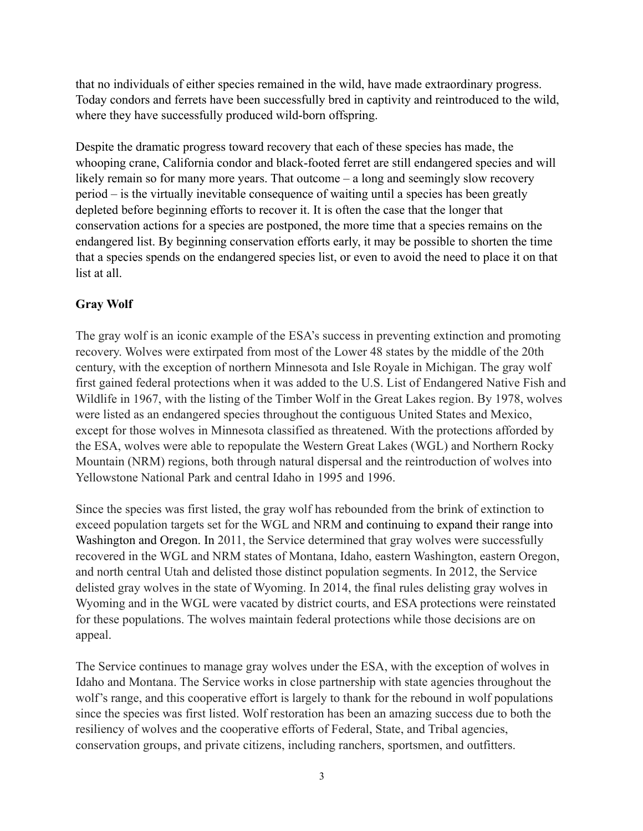that no individuals of either species remained in the wild, have made extraordinary progress. Today condors and ferrets have been successfully bred in captivity and reintroduced to the wild, where they have successfully produced wild-born offspring.

Despite the dramatic progress toward recovery that each of these species has made, the whooping crane, California condor and black-footed ferret are still endangered species and will likely remain so for many more years. That outcome – a long and seemingly slow recovery period – is the virtually inevitable consequence of waiting until a species has been greatly depleted before beginning efforts to recover it. It is often the case that the longer that conservation actions for a species are postponed, the more time that a species remains on the endangered list. By beginning conservation efforts early, it may be possible to shorten the time that a species spends on the endangered species list, or even to avoid the need to place it on that list at all.

# **Gray Wolf**

The gray wolf is an iconic example of the ESA's success in preventing extinction and promoting recovery. Wolves were extirpated from most of the Lower 48 states by the middle of the 20th century, with the exception of northern Minnesota and Isle Royale in Michigan. The gray wolf first gained federal protections when it was added to the U.S. List of Endangered Native Fish and Wildlife in 1967, with the listing of the Timber Wolf in the Great Lakes region. By 1978, wolves were listed as an endangered species throughout the contiguous United States and Mexico, except for those wolves in Minnesota classified as threatened. With the protections afforded by the ESA, wolves were able to repopulate the Western Great Lakes (WGL) and Northern Rocky Mountain (NRM) regions, both through natural dispersal and the reintroduction of wolves into Yellowstone National Park and central Idaho in 1995 and 1996.

Since the species was first listed, the gray wolf has rebounded from the brink of extinction to exceed population targets set for the WGL and NRM and continuing to expand their range into Washington and Oregon. In 2011, the Service determined that gray wolves were successfully recovered in the WGL and NRM states of Montana, Idaho, eastern Washington, eastern Oregon, and north central Utah and delisted those distinct population segments. In 2012, the Service delisted gray wolves in the state of Wyoming. In 2014, the final rules delisting gray wolves in Wyoming and in the WGL were vacated by district courts, and ESA protections were reinstated for these populations. The wolves maintain federal protections while those decisions are on appeal.

The Service continues to manage gray wolves under the ESA, with the exception of wolves in Idaho and Montana. The Service works in close partnership with state agencies throughout the wolf's range, and this cooperative effort is largely to thank for the rebound in wolf populations since the species was first listed. Wolf restoration has been an amazing success due to both the resiliency of wolves and the cooperative efforts of Federal, State, and Tribal agencies, conservation groups, and private citizens, including ranchers, sportsmen, and outfitters.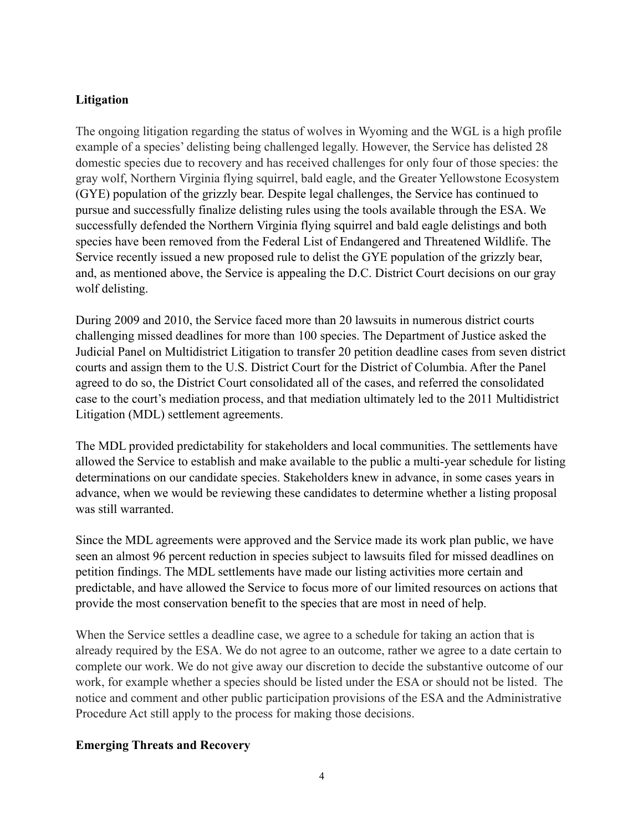### **Litigation**

The ongoing litigation regarding the status of wolves in Wyoming and the WGL is a high profile example of a species' delisting being challenged legally. However, the Service has delisted 28 domestic species due to recovery and has received challenges for only four of those species: the gray wolf, Northern Virginia flying squirrel, bald eagle, and the Greater Yellowstone Ecosystem (GYE) population of the grizzly bear. Despite legal challenges, the Service has continued to pursue and successfully finalize delisting rules using the tools available through the ESA. We successfully defended the Northern Virginia flying squirrel and bald eagle delistings and both species have been removed from the Federal List of Endangered and Threatened Wildlife. The Service recently issued a new proposed rule to delist the GYE population of the grizzly bear, and, as mentioned above, the Service is appealing the D.C. District Court decisions on our gray wolf delisting.

During 2009 and 2010, the Service faced more than 20 lawsuits in numerous district courts challenging missed deadlines for more than 100 species. The Department of Justice asked the Judicial Panel on Multidistrict Litigation to transfer 20 petition deadline cases from seven district courts and assign them to the U.S. District Court for the District of Columbia. After the Panel agreed to do so, the District Court consolidated all of the cases, and referred the consolidated case to the court's mediation process, and that mediation ultimately led to the 2011 Multidistrict Litigation (MDL) settlement agreements.

The MDL provided predictability for stakeholders and local communities. The settlements have allowed the Service to establish and make available to the public a multi-year schedule for listing determinations on our candidate species. Stakeholders knew in advance, in some cases years in advance, when we would be reviewing these candidates to determine whether a listing proposal was still warranted.

Since the MDL agreements were approved and the Service made its work plan public, we have seen an almost 96 percent reduction in species subject to lawsuits filed for missed deadlines on petition findings. The MDL settlements have made our listing activities more certain and predictable, and have allowed the Service to focus more of our limited resources on actions that provide the most conservation benefit to the species that are most in need of help.

When the Service settles a deadline case, we agree to a schedule for taking an action that is already required by the ESA. We do not agree to an outcome, rather we agree to a date certain to complete our work. We do not give away our discretion to decide the substantive outcome of our work, for example whether a species should be listed under the ESA or should not be listed. The notice and comment and other public participation provisions of the ESA and the Administrative Procedure Act still apply to the process for making those decisions.

### **Emerging Threats and Recovery**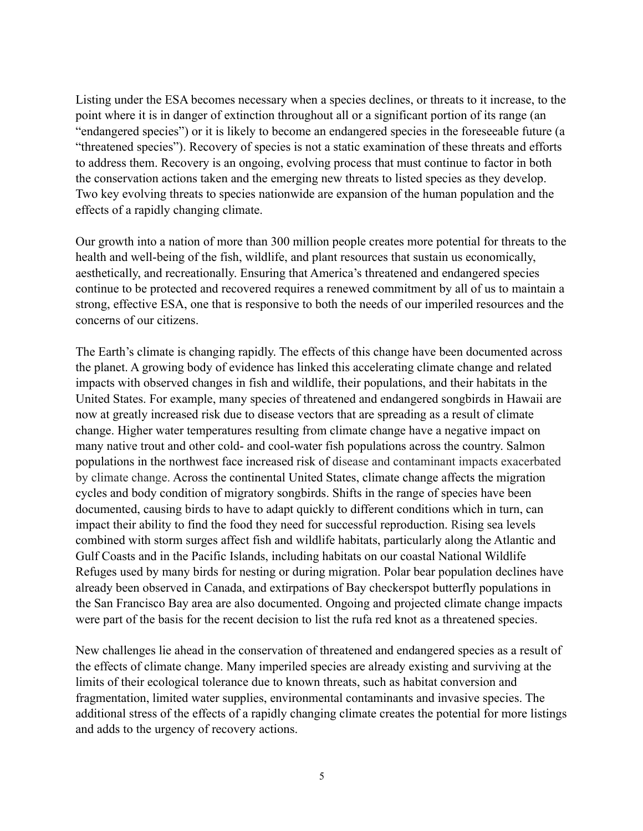Listing under the ESA becomes necessary when a species declines, or threats to it increase, to the point where it is in danger of extinction throughout all or a significant portion of its range (an "endangered species") or it is likely to become an endangered species in the foreseeable future (a "threatened species"). Recovery of species is not a static examination of these threats and efforts to address them. Recovery is an ongoing, evolving process that must continue to factor in both the conservation actions taken and the emerging new threats to listed species as they develop. Two key evolving threats to species nationwide are expansion of the human population and the effects of a rapidly changing climate.

Our growth into a nation of more than 300 million people creates more potential for threats to the health and well-being of the fish, wildlife, and plant resources that sustain us economically, aesthetically, and recreationally. Ensuring that America's threatened and endangered species continue to be protected and recovered requires a renewed commitment by all of us to maintain a strong, effective ESA, one that is responsive to both the needs of our imperiled resources and the concerns of our citizens.

The Earth's climate is changing rapidly. The effects of this change have been documented across the planet. A growing body of evidence has linked this accelerating climate change and related impacts with observed changes in fish and wildlife, their populations, and their habitats in the United States. For example, many species of threatened and endangered songbirds in Hawaii are now at greatly increased risk due to disease vectors that are spreading as a result of climate change. Higher water temperatures resulting from climate change have a negative impact on many native trout and other cold- and cool-water fish populations across the country. Salmon populations in the northwest face increased risk of disease and contaminant impacts exacerbated by climate change. Across the continental United States, climate change affects the migration cycles and body condition of migratory songbirds. Shifts in the range of species have been documented, causing birds to have to adapt quickly to different conditions which in turn, can impact their ability to find the food they need for successful reproduction. Rising sea levels combined with storm surges affect fish and wildlife habitats, particularly along the Atlantic and Gulf Coasts and in the Pacific Islands, including habitats on our coastal National Wildlife Refuges used by many birds for nesting or during migration. Polar bear population declines have already been observed in Canada, and extirpations of Bay checkerspot butterfly populations in the San Francisco Bay area are also documented. Ongoing and projected climate change impacts were part of the basis for the recent decision to list the rufa red knot as a threatened species.

New challenges lie ahead in the conservation of threatened and endangered species as a result of the effects of climate change. Many imperiled species are already existing and surviving at the limits of their ecological tolerance due to known threats, such as habitat conversion and fragmentation, limited water supplies, environmental contaminants and invasive species. The additional stress of the effects of a rapidly changing climate creates the potential for more listings and adds to the urgency of recovery actions.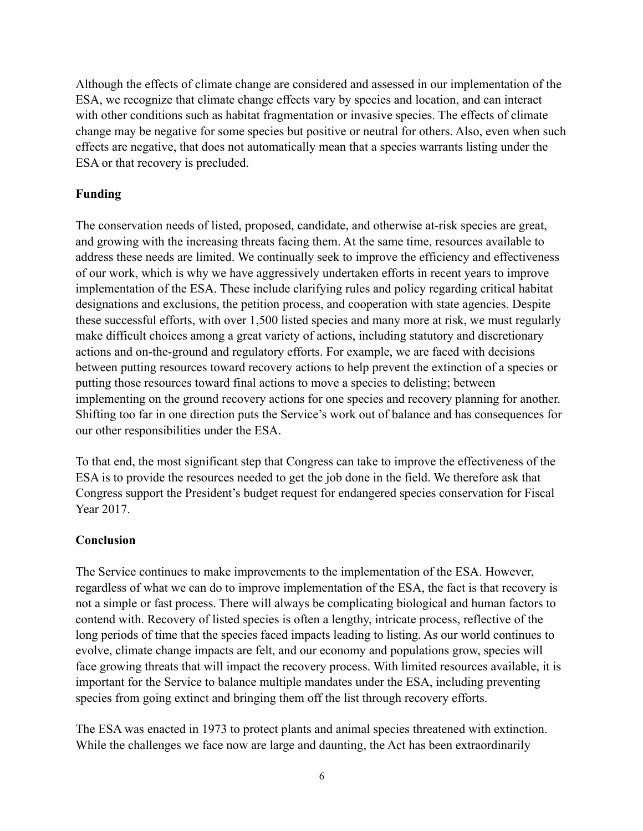Although the effects of climate change are considered and assessed in our implementation of the ESA, we recognize that climate change effects vary by species and location, and can interact with other conditions such as habitat fragmentation or invasive species. The effects of climate change may be negative for some species but positive or neutral for others. Also, even when such effects are negative, that does not automatically mean that a species warrants listing under the ESA or that recovery is precluded.

# **Funding**

The conservation needs of listed, proposed, candidate, and otherwise at-risk species are great, and growing with the increasing threats facing them. At the same time, resources available to address these needs are limited. We continually seek to improve the efficiency and effectiveness of our work, which is why we have aggressively undertaken efforts in recent years to improve implementation of the ESA. These include clarifying rules and policy regarding critical habitat designations and exclusions, the petition process, and cooperation with state agencies. Despite these successful efforts, with over 1,500 listed species and many more at risk, we must regularly make difficult choices among a great variety of actions, including statutory and discretionary actions and on-the-ground and regulatory efforts. For example, we are faced with decisions between putting resources toward recovery actions to help prevent the extinction of a species or putting those resources toward final actions to move a species to delisting; between implementing on the ground recovery actions for one species and recovery planning for another. Shifting too far in one direction puts the Service's work out of balance and has consequences for our other responsibilities under the ESA.

To that end, the most significant step that Congress can take to improve the effectiveness of the ESA is to provide the resources needed to get the job done in the field. We therefore ask that Congress support the President's budget request for endangered species conservation for Fiscal Year 2017.

## **Conclusion**

The Service continues to make improvements to the implementation of the ESA. However, regardless of what we can do to improve implementation of the ESA, the fact is that recovery is not a simple or fast process. There will always be complicating biological and human factors to contend with. Recovery of listed species is often a lengthy, intricate process, reflective of the long periods of time that the species faced impacts leading to listing. As our world continues to evolve, climate change impacts are felt, and our economy and populations grow, species will face growing threats that will impact the recovery process. With limited resources available, it is important for the Service to balance multiple mandates under the ESA, including preventing species from going extinct and bringing them off the list through recovery efforts.

The ESA was enacted in 1973 to protect plants and animal species threatened with extinction. While the challenges we face now are large and daunting, the Act has been extraordinarily